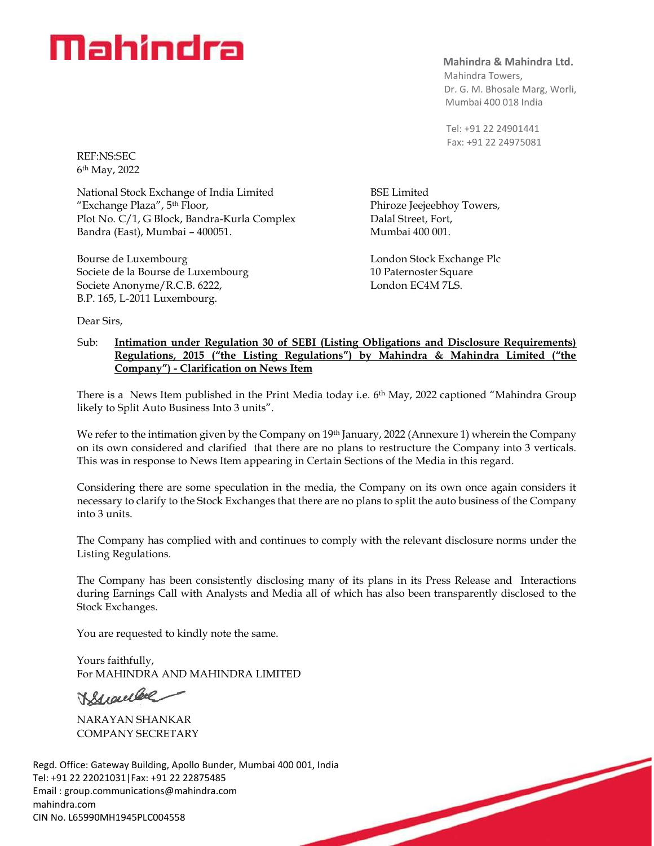## Mahindra

**Mahindra & Mahindra Ltd.**

 Mahindra Towers, Dr. G. M. Bhosale Marg, Worli, Mumbai 400 018 India

 Tel: +91 22 24901441 Fax: +91 22 24975081

BSE Limited

Phiroze Jeejeebhoy Towers, Dalal Street, Fort, Mumbai 400 001.

London Stock Exchange Plc 10 Paternoster Square London EC4M 7LS.

REF:NS:SEC 6 th May, 2022

National Stock Exchange of India Limited "Exchange Plaza", 5th Floor, Plot No. C/1, G Block, Bandra-Kurla Complex Bandra (East), Mumbai – 400051.

Bourse de Luxembourg Societe de la Bourse de Luxembourg Societe Anonyme/R.C.B. 6222, B.P. 165, L-2011 Luxembourg.

Dear Sirs,

## Sub: **Intimation under Regulation 30 of SEBI (Listing Obligations and Disclosure Requirements) Regulations, 2015 ("the Listing Regulations") by Mahindra & Mahindra Limited ("the Company") - Clarification on News Item**

There is a News Item published in the Print Media today i.e. 6<sup>th</sup> May, 2022 captioned "Mahindra Group" likely to Split Auto Business Into 3 units".

We refer to the intimation given by the Company on 19th January, 2022 (Annexure 1) wherein the Company on its own considered and clarified that there are no plans to restructure the Company into 3 verticals. This was in response to News Item appearing in Certain Sections of the Media in this regard.

Considering there are some speculation in the media, the Company on its own once again considers it necessary to clarify to the Stock Exchanges that there are no plans to split the auto business of the Company into 3 units.

The Company has complied with and continues to comply with the relevant disclosure norms under the Listing Regulations.

The Company has been consistently disclosing many of its plans in its Press Release and Interactions during Earnings Call with Analysts and Media all of which has also been transparently disclosed to the Stock Exchanges.

You are requested to kindly note the same.

Yours faithfully, For MAHINDRA AND MAHINDRA LIMITED

Sweller

NARAYAN SHANKAR COMPANY SECRETARY

Regd. Office: Gateway Building, Apollo Bunder, Mumbai 400 001, India Tel: +91 22 22021031|Fax: +91 22 22875485 Email : [group.communications@mahindra.com](mailto:group.communications@mahindra.com) mahindra.com CIN No. L65990MH1945PLC004558